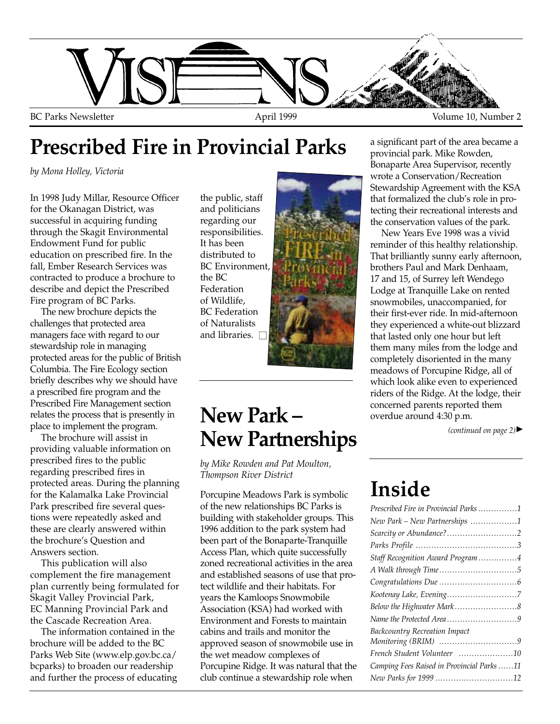

# **Prescribed Fire in Provincial Parks**

*by Mona Holley, Victoria*

In 1998 Judy Millar, Resource Officer for the Okanagan District, was successful in acquiring funding through the Skagit Environmental Endowment Fund for public education on prescribed fire. In the fall, Ember Research Services was contracted to produce a brochure to describe and depict the Prescribed Fire program of BC Parks.

The new brochure depicts the challenges that protected area managers face with regard to our stewardship role in managing protected areas for the public of British Columbia. The Fire Ecology section briefly describes why we should have a prescribed fire program and the Prescribed Fire Management section relates the process that is presently in place to implement the program.

The brochure will assist in providing valuable information on prescribed fires to the public regarding prescribed fires in protected areas. During the planning for the Kalamalka Lake Provincial Park prescribed fire several questions were repeatedly asked and these are clearly answered within the brochure's Question and Answers section.

This publication will also complement the fire management plan currently being formulated for Skagit Valley Provincial Park, EC Manning Provincial Park and the Cascade Recreation Area.

The information contained in the brochure will be added to the BC Parks Web Site (www.elp.gov.bc.ca/ bcparks) to broaden our readership and further the process of educating

the public, staff and politicians regarding our responsibilities. It has been distributed to BC Environment, the BC Federation of Wildlife, BC Federation of Naturalists and libraries.  $\square$ 



### **New Park – New Partnerships**

*by Mike Rowden and Pat Moulton, Thompson River District*

Porcupine Meadows Park is symbolic of the new relationships BC Parks is building with stakeholder groups. This 1996 addition to the park system had been part of the Bonaparte-Tranquille Access Plan, which quite successfully zoned recreational activities in the area and established seasons of use that protect wildlife and their habitats. For years the Kamloops Snowmobile Association (KSA) had worked with Environment and Forests to maintain cabins and trails and monitor the approved season of snowmobile use in the wet meadow complexes of Porcupine Ridge. It was natural that the club continue a stewardship role when

a significant part of the area became a provincial park. Mike Rowden, Bonaparte Area Supervisor, recently wrote a Conservation/Recreation Stewardship Agreement with the KSA that formalized the club's role in protecting their recreational interests and the conservation values of the park.

New Years Eve 1998 was a vivid reminder of this healthy relationship. That brilliantly sunny early afternoon, brothers Paul and Mark Denhaam, 17 and 15, of Surrey left Wendego Lodge at Tranquille Lake on rented snowmobiles, unaccompanied, for their first-ever ride. In mid-afternoon they experienced a white-out blizzard that lasted only one hour but left them many miles from the lodge and completely disoriented in the many meadows of Porcupine Ridge, all of which look alike even to experienced riders of the Ridge. At the lodge, their concerned parents reported them overdue around 4:30 p.m.

*(continued on page 2)* ▲

# **Inside**

| Prescribed Fire in Provincial Parks 1      |
|--------------------------------------------|
| New Park - New Partnerships 1              |
| Scarcity or Abundance?2                    |
|                                            |
| Staff Recognition Award Program4           |
|                                            |
|                                            |
|                                            |
|                                            |
|                                            |
| <b>Backcountry Recreation Impact</b>       |
|                                            |
| French Student Volunteer 10                |
| Camping Fees Raised in Provincial Parks 11 |
| New Parks for 1999 12                      |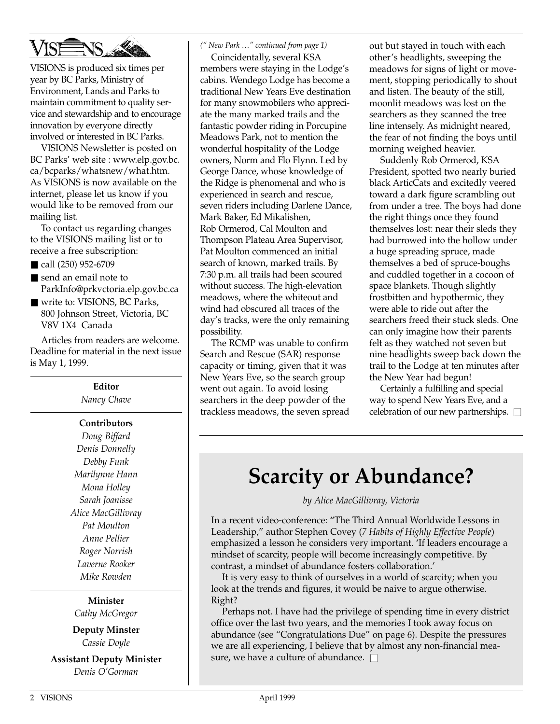

VISIONS is produced six times per year by BC Parks, Ministry of Environment, Lands and Parks to maintain commitment to quality service and stewardship and to encourage innovation by everyone directly involved or interested in BC Parks.

VISIONS Newsletter is posted on BC Parks' web site : www.elp.gov.bc. ca/bcparks/whatsnew/what.htm. As VISIONS is now available on the internet, please let us know if you would like to be removed from our mailing list.

To contact us regarding changes to the VISIONS mailing list or to receive a free subscription:

- call (250) 952-6709
- send an email note to ParkInfo@prkvctoria.elp.gov.bc.ca
- write to: VISIONS, BC Parks, 800 Johnson Street, Victoria, BC V8V 1X4 Canada

Articles from readers are welcome. Deadline for material in the next issue is May 1, 1999.

> **Editor** *Nancy Chave*

#### **Contributors**

*Doug Biffard Denis Donnelly Debby Funk Marilynne Hann Mona Holley Sarah Joanisse Alice MacGillivray Pat Moulton Anne Pellier Roger Norrish Laverne Rooker Mike Rowden*

**Minister** *Cathy McGregor*

**Deputy Minster** *Cassie Doyle*

**Assistant Deputy Minister** *Denis O'Gorman*

#### *(" New Park …" continued from page 1)*

Coincidentally, several KSA members were staying in the Lodge's cabins. Wendego Lodge has become a traditional New Years Eve destination for many snowmobilers who appreciate the many marked trails and the fantastic powder riding in Porcupine Meadows Park, not to mention the wonderful hospitality of the Lodge owners, Norm and Flo Flynn. Led by George Dance, whose knowledge of the Ridge is phenomenal and who is experienced in search and rescue, seven riders including Darlene Dance, Mark Baker, Ed Mikalishen, Rob Ormerod, Cal Moulton and Thompson Plateau Area Supervisor, Pat Moulton commenced an initial search of known, marked trails. By 7:30 p.m. all trails had been scoured without success. The high-elevation meadows, where the whiteout and wind had obscured all traces of the day's tracks, were the only remaining possibility.

The RCMP was unable to confirm Search and Rescue (SAR) response capacity or timing, given that it was New Years Eve, so the search group went out again. To avoid losing searchers in the deep powder of the trackless meadows, the seven spread out but stayed in touch with each other's headlights, sweeping the meadows for signs of light or movement, stopping periodically to shout and listen. The beauty of the still, moonlit meadows was lost on the searchers as they scanned the tree line intensely. As midnight neared, the fear of not finding the boys until morning weighed heavier.

Suddenly Rob Ormerod, KSA President, spotted two nearly buried black ArticCats and excitedly veered toward a dark figure scrambling out from under a tree. The boys had done the right things once they found themselves lost: near their sleds they had burrowed into the hollow under a huge spreading spruce, made themselves a bed of spruce-boughs and cuddled together in a cocoon of space blankets. Though slightly frostbitten and hypothermic, they were able to ride out after the searchers freed their stuck sleds. One can only imagine how their parents felt as they watched not seven but nine headlights sweep back down the trail to the Lodge at ten minutes after the New Year had begun!

Certainly a fulfilling and special way to spend New Years Eve, and a celebration of our new partnerships.  $\square$ 

### **Scarcity or Abundance?**

### *by Alice MacGillivray, Victoria*

In a recent video-conference: "The Third Annual Worldwide Lessons in Leadership," author Stephen Covey (*7 Habits of Highly Effective People*) emphasized a lesson he considers very important. 'If leaders encourage a mindset of scarcity, people will become increasingly competitive. By contrast, a mindset of abundance fosters collaboration.'

It is very easy to think of ourselves in a world of scarcity; when you look at the trends and figures, it would be naive to argue otherwise. Right?

Perhaps not. I have had the privilege of spending time in every district office over the last two years, and the memories I took away focus on abundance (see "Congratulations Due" on page 6). Despite the pressures we are all experiencing, I believe that by almost any non-financial measure, we have a culture of abundance.  $\square$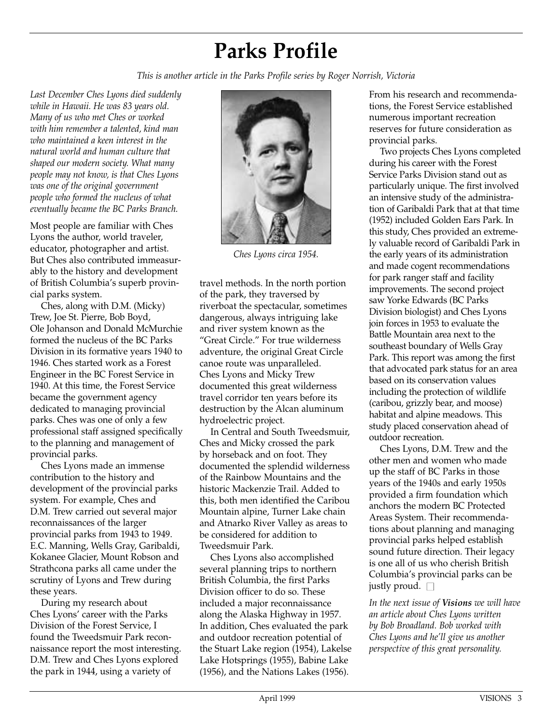# **Parks Profile**

*This is another article in the Parks Profile series by Roger Norrish, Victoria*

*Last December Ches Lyons died suddenly while in Hawaii. He was 83 years old. Many of us who met Ches or worked with him remember a talented, kind man who maintained a keen interest in the natural world and human culture that shaped our modern society. What many people may not know, is that Ches Lyons was one of the original government people who formed the nucleus of what eventually became the BC Parks Branch.*

Most people are familiar with Ches Lyons the author, world traveler, educator, photographer and artist. But Ches also contributed immeasurably to the history and development of British Columbia's superb provincial parks system.

Ches, along with D.M. (Micky) Trew, Joe St. Pierre, Bob Boyd, Ole Johanson and Donald McMurchie formed the nucleus of the BC Parks Division in its formative years 1940 to 1946. Ches started work as a Forest Engineer in the BC Forest Service in 1940. At this time, the Forest Service became the government agency dedicated to managing provincial parks. Ches was one of only a few professional staff assigned specifically to the planning and management of provincial parks.

Ches Lyons made an immense contribution to the history and development of the provincial parks system. For example, Ches and D.M. Trew carried out several major reconnaissances of the larger provincial parks from 1943 to 1949. E.C. Manning, Wells Gray, Garibaldi, Kokanee Glacier, Mount Robson and Strathcona parks all came under the scrutiny of Lyons and Trew during these years.

During my research about Ches Lyons' career with the Parks Division of the Forest Service, I found the Tweedsmuir Park reconnaissance report the most interesting. D.M. Trew and Ches Lyons explored the park in 1944, using a variety of



*Ches Lyons circa 1954.*

travel methods. In the north portion of the park, they traversed by riverboat the spectacular, sometimes dangerous, always intriguing lake and river system known as the "Great Circle." For true wilderness adventure, the original Great Circle canoe route was unparalleled. Ches Lyons and Micky Trew documented this great wilderness travel corridor ten years before its destruction by the Alcan aluminum hydroelectric project.

In Central and South Tweedsmuir, Ches and Micky crossed the park by horseback and on foot. They documented the splendid wilderness of the Rainbow Mountains and the historic Mackenzie Trail. Added to this, both men identified the Caribou Mountain alpine, Turner Lake chain and Atnarko River Valley as areas to be considered for addition to Tweedsmuir Park.

Ches Lyons also accomplished several planning trips to northern British Columbia, the first Parks Division officer to do so. These included a major reconnaissance along the Alaska Highway in 1957. In addition, Ches evaluated the park and outdoor recreation potential of the Stuart Lake region (1954), Lakelse Lake Hotsprings (1955), Babine Lake (1956), and the Nations Lakes (1956).

From his research and recommendations, the Forest Service established numerous important recreation reserves for future consideration as provincial parks.

Two projects Ches Lyons completed during his career with the Forest Service Parks Division stand out as particularly unique. The first involved an intensive study of the administration of Garibaldi Park that at that time (1952) included Golden Ears Park. In this study, Ches provided an extremely valuable record of Garibaldi Park in the early years of its administration and made cogent recommendations for park ranger staff and facility improvements. The second project saw Yorke Edwards (BC Parks Division biologist) and Ches Lyons join forces in 1953 to evaluate the Battle Mountain area next to the southeast boundary of Wells Gray Park. This report was among the first that advocated park status for an area based on its conservation values including the protection of wildlife (caribou, grizzly bear, and moose) habitat and alpine meadows. This study placed conservation ahead of outdoor recreation.

Ches Lyons, D.M. Trew and the other men and women who made up the staff of BC Parks in those years of the 1940s and early 1950s provided a firm foundation which anchors the modern BC Protected Areas System. Their recommendations about planning and managing provincial parks helped establish sound future direction. Their legacy is one all of us who cherish British Columbia's provincial parks can be justly proud.  $\square$ 

*In the next issue of Visions we will have an article about Ches Lyons written by Bob Broadland. Bob worked with Ches Lyons and he'll give us another perspective of this great personality.*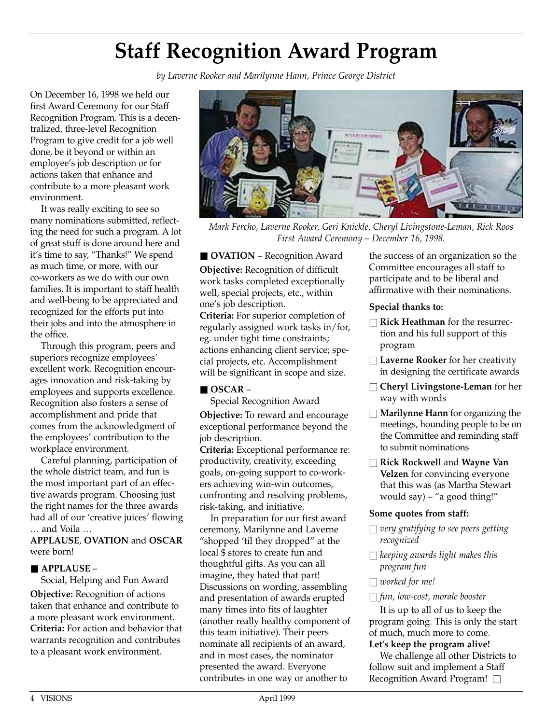# **Staff Recognition Award Program**

*by Laverne Rooker and Marilynne Hann, Prince George District*

On December 16, 1998 we held our first Award Ceremony for our Staff Recognition Program. This is a decentralized, three-level Recognition Program to give credit for a job well done, be it beyond or within an employee's job description or for actions taken that enhance and contribute to a more pleasant work environment.

It was really exciting to see so many nominations submitted, reflecting the need for such a program. A lot of great stuff is done around here and it's time to say, "Thanks!" We spend as much time, or more, with our co-workers as we do with our own families. It is important to staff health and well-being to be appreciated and recognized for the efforts put into their jobs and into the atmosphere in the office.

Through this program, peers and superiors recognize employees' excellent work. Recognition encourages innovation and risk-taking by employees and supports excellence. Recognition also fosters a sense of accomplishment and pride that comes from the acknowledgment of the employees' contribution to the workplace environment.

Careful planning, participation of the whole district team, and fun is the most important part of an effective awards program. Choosing just the right names for the three awards had all of our 'creative juices' flowing … and Voila …

**APPLAUSE**, **OVATION** and **OSCAR** were born!

### ■ **APPLAUSE** –

Social, Helping and Fun Award **Objective:** Recognition of actions taken that enhance and contribute to a more pleasant work environment. **Criteria:** For action and behavior that warrants recognition and contributes to a pleasant work environment.



*Mark Fercho, Laverne Rooker, Geri Knickle, Cheryl Livingstone-Leman, Rick Roos First Award Ceremony – December 16, 1998.*

■ **OVATION** – Recognition Award **Objective:** Recognition of difficult work tasks completed exceptionally well, special projects, etc., within one's job description.

**Criteria:** For superior completion of regularly assigned work tasks in/for, eg. under tight time constraints; actions enhancing client service; special projects, etc. Accomplishment will be significant in scope and size.

### ■ **OSCAR** –

Special Recognition Award **Objective:** To reward and encourage exceptional performance beyond the job description.

**Criteria:** Exceptional performance re: productivity, creativity, exceeding goals, on-going support to co-workers achieving win-win outcomes, confronting and resolving problems, risk-taking, and initiative.

In preparation for our first award ceremony, Marilynne and Laverne "shopped 'til they dropped" at the local \$ stores to create fun and thoughtful gifts. As you can all imagine, they hated that part! Discussions on wording, assembling and presentation of awards erupted many times into fits of laughter (another really healthy component of this team initiative). Their peers nominate all recipients of an award, and in most cases, the nominator presented the award. Everyone contributes in one way or another to

the success of an organization so the Committee encourages all staff to participate and to be liberal and affirmative with their nominations.

#### **Special thanks to:**

- □ **Rick Heathman** for the resurrection and his full support of this program
- **Laverne Rooker** for her creativity in designing the certificate awards
- □ **Cheryl Livingstone-Leman** for her way with words
- □ **Marilynne Hann** for organizing the meetings, hounding people to be on the Committee and reminding staff to submit nominations
- **□ Rick Rockwell** and **Wayne Van Velzen** for convincing everyone that this was (as Martha Stewart would say) – "a good thing!"

### **Some quotes from staff:**

- *very gratifying to see peers getting recognized*
- □ *keeping awards light makes this program fun*
- *worked for me!*

### ■ *fun, low-cost, morale booster*

It is up to all of us to keep the program going. This is only the start of much, much more to come. **Let's keep the program alive!**

We challenge all other Districts to follow suit and implement a Staff Recognition Award Program! □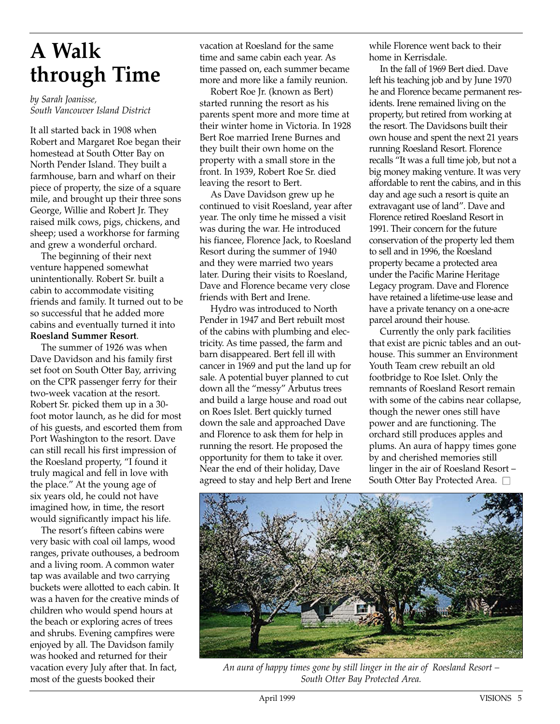# **A Walk through Time**

*by Sarah Joanisse, South Vancouver Island District*

It all started back in 1908 when Robert and Margaret Roe began their homestead at South Otter Bay on North Pender Island. They built a farmhouse, barn and wharf on their piece of property, the size of a square mile, and brought up their three sons George, Willie and Robert Jr. They raised milk cows, pigs, chickens, and sheep; used a workhorse for farming and grew a wonderful orchard.

The beginning of their next venture happened somewhat unintentionally. Robert Sr. built a cabin to accommodate visiting friends and family. It turned out to be so successful that he added more cabins and eventually turned it into **Roesland Summer Resort**.

The summer of 1926 was when Dave Davidson and his family first set foot on South Otter Bay, arriving on the CPR passenger ferry for their two-week vacation at the resort. Robert Sr. picked them up in a 30 foot motor launch, as he did for most of his guests, and escorted them from Port Washington to the resort. Dave can still recall his first impression of the Roesland property, "I found it truly magical and fell in love with the place." At the young age of six years old, he could not have imagined how, in time, the resort would significantly impact his life.

The resort's fifteen cabins were very basic with coal oil lamps, wood ranges, private outhouses, a bedroom and a living room. A common water tap was available and two carrying buckets were allotted to each cabin. It was a haven for the creative minds of children who would spend hours at the beach or exploring acres of trees and shrubs. Evening campfires were enjoyed by all. The Davidson family was hooked and returned for their vacation every July after that. In fact, most of the guests booked their

vacation at Roesland for the same time and same cabin each year. As time passed on, each summer became more and more like a family reunion.

Robert Roe Jr. (known as Bert) started running the resort as his parents spent more and more time at their winter home in Victoria. In 1928 Bert Roe married Irene Burnes and they built their own home on the property with a small store in the front. In 1939, Robert Roe Sr. died leaving the resort to Bert.

As Dave Davidson grew up he continued to visit Roesland, year after year. The only time he missed a visit was during the war. He introduced his fiancee, Florence Jack, to Roesland Resort during the summer of 1940 and they were married two years later. During their visits to Roesland, Dave and Florence became very close friends with Bert and Irene.

Hydro was introduced to North Pender in 1947 and Bert rebuilt most of the cabins with plumbing and electricity. As time passed, the farm and barn disappeared. Bert fell ill with cancer in 1969 and put the land up for sale. A potential buyer planned to cut down all the "messy" Arbutus trees and build a large house and road out on Roes Islet. Bert quickly turned down the sale and approached Dave and Florence to ask them for help in running the resort. He proposed the opportunity for them to take it over. Near the end of their holiday, Dave agreed to stay and help Bert and Irene while Florence went back to their home in Kerrisdale.

In the fall of 1969 Bert died. Dave left his teaching job and by June 1970 he and Florence became permanent residents. Irene remained living on the property, but retired from working at the resort. The Davidsons built their own house and spent the next 21 years running Roesland Resort. Florence recalls "It was a full time job, but not a big money making venture. It was very affordable to rent the cabins, and in this day and age such a resort is quite an extravagant use of land". Dave and Florence retired Roesland Resort in 1991. Their concern for the future conservation of the property led them to sell and in 1996, the Roesland property became a protected area under the Pacific Marine Heritage Legacy program. Dave and Florence have retained a lifetime-use lease and have a private tenancy on a one-acre parcel around their house.

Currently the only park facilities that exist are picnic tables and an outhouse. This summer an Environment Youth Team crew rebuilt an old footbridge to Roe Islet. Only the remnants of Roesland Resort remain with some of the cabins near collapse, though the newer ones still have power and are functioning. The orchard still produces apples and plums. An aura of happy times gone by and cherished memories still linger in the air of Roesland Resort – South Otter Bay Protected Area. □



*An aura of happy times gone by still linger in the air of Roesland Resort – South Otter Bay Protected Area.*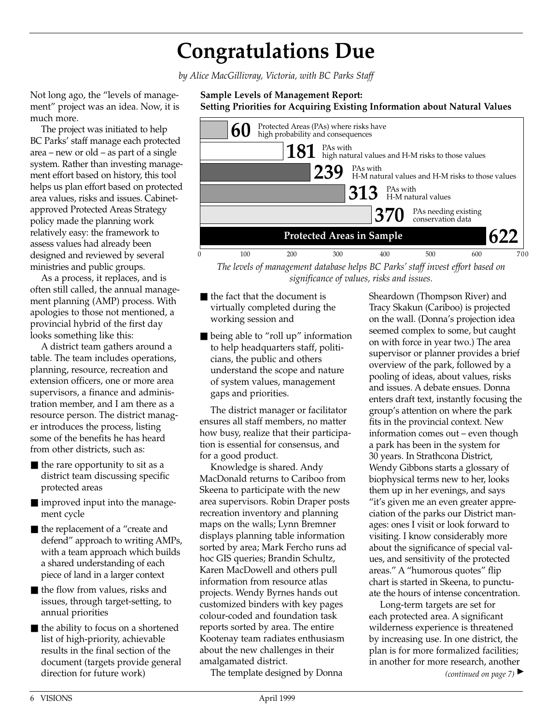### **Congratulations Due**

*by Alice MacGillivray, Victoria, with BC Parks Staff*

Not long ago, the "levels of management" project was an idea. Now, it is much more.

The project was initiated to help BC Parks' staff manage each protected area – new or old – as part of a single system. Rather than investing management effort based on history, this tool helps us plan effort based on protected area values, risks and issues. Cabinetapproved Protected Areas Strategy policy made the planning work relatively easy: the framework to assess values had already been designed and reviewed by several ministries and public groups.

As a process, it replaces, and is often still called, the annual management planning (AMP) process. With apologies to those not mentioned, a provincial hybrid of the first day looks something like this:

A district team gathers around a table. The team includes operations, planning, resource, recreation and extension officers, one or more area supervisors, a finance and administration member, and I am there as a resource person. The district manager introduces the process, listing some of the benefits he has heard from other districts, such as:

- $\blacksquare$  the rare opportunity to sit as a district team discussing specific protected areas
- improved input into the management cycle
- the replacement of a "create and defend" approach to writing AMPs, with a team approach which builds a shared understanding of each piece of land in a larger context
- the flow from values, risks and issues, through target-setting, to annual priorities
- the ability to focus on a shortened list of high-priority, achievable results in the final section of the document (targets provide general direction for future work)

#### **Sample Levels of Management Report: Setting Priorities for Acquiring Existing Information about Natural Values**



*The levels of management database helps BC Parks' staff invest effort based on significance of values, risks and issues.*

- the fact that the document is virtually completed during the working session and
- being able to "roll up" information to help headquarters staff, politicians, the public and others understand the scope and nature of system values, management gaps and priorities.

The district manager or facilitator ensures all staff members, no matter how busy, realize that their participation is essential for consensus, and for a good product.

Knowledge is shared. Andy MacDonald returns to Cariboo from Skeena to participate with the new area supervisors. Robin Draper posts recreation inventory and planning maps on the walls; Lynn Bremner displays planning table information sorted by area; Mark Fercho runs ad hoc GIS queries; Brandin Schultz, Karen MacDowell and others pull information from resource atlas projects. Wendy Byrnes hands out customized binders with key pages colour-coded and foundation task reports sorted by area. The entire Kootenay team radiates enthusiasm about the new challenges in their amalgamated district.

The template designed by Donna

Sheardown (Thompson River) and Tracy Skakun (Cariboo) is projected on the wall. (Donna's projection idea seemed complex to some, but caught on with force in year two.) The area supervisor or planner provides a brief overview of the park, followed by a pooling of ideas, about values, risks and issues. A debate ensues. Donna enters draft text, instantly focusing the group's attention on where the park fits in the provincial context. New information comes out – even though a park has been in the system for 30 years. In Strathcona District, Wendy Gibbons starts a glossary of biophysical terms new to her, looks them up in her evenings, and says "it's given me an even greater appreciation of the parks our District manages: ones I visit or look forward to visiting. I know considerably more about the significance of special values, and sensitivity of the protected areas." A "humorous quotes" flip chart is started in Skeena, to punctuate the hours of intense concentration.

Long-term targets are set for each protected area. A significant wilderness experience is threatened by increasing use. In one district, the plan is for more formalized facilities; in another for more research, another

*(continued on page 7)* ▲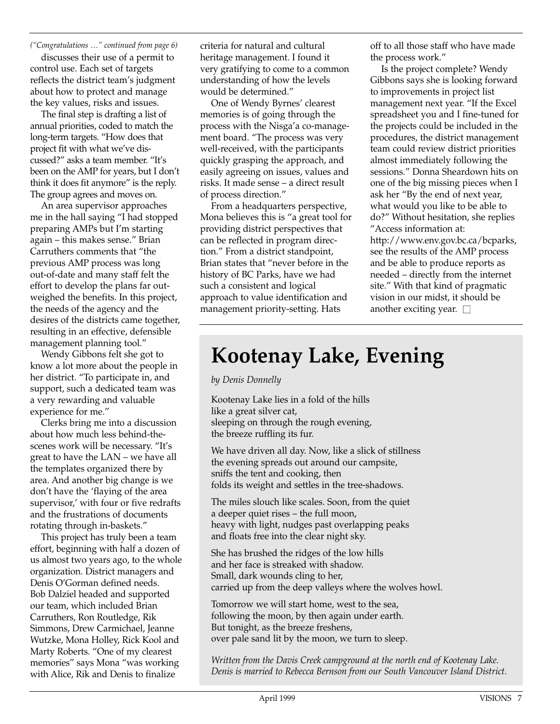*("Congratulations …" continued from page 6)*

discusses their use of a permit to control use. Each set of targets reflects the district team's judgment about how to protect and manage the key values, risks and issues.

The final step is drafting a list of annual priorities, coded to match the long-term targets. "How does that project fit with what we've discussed?" asks a team member. "It's been on the AMP for years, but I don't think it does fit anymore" is the reply. The group agrees and moves on.

An area supervisor approaches me in the hall saying "I had stopped preparing AMPs but I'm starting again – this makes sense." Brian Carruthers comments that "the previous AMP process was long out-of-date and many staff felt the effort to develop the plans far outweighed the benefits. In this project, the needs of the agency and the desires of the districts came together, resulting in an effective, defensible management planning tool."

Wendy Gibbons felt she got to know a lot more about the people in her district. "To participate in, and support, such a dedicated team was a very rewarding and valuable experience for me."

Clerks bring me into a discussion about how much less behind-thescenes work will be necessary. "It's great to have the LAN – we have all the templates organized there by area. And another big change is we don't have the 'flaying of the area supervisor,' with four or five redrafts and the frustrations of documents rotating through in-baskets."

This project has truly been a team effort, beginning with half a dozen of us almost two years ago, to the whole organization. District managers and Denis O'Gorman defined needs. Bob Dalziel headed and supported our team, which included Brian Carruthers, Ron Routledge, Rik Simmons, Drew Carmichael, Jeanne Wutzke, Mona Holley, Rick Kool and Marty Roberts. "One of my clearest memories" says Mona "was working with Alice, Rik and Denis to finalize

criteria for natural and cultural heritage management. I found it very gratifying to come to a common understanding of how the levels would be determined."

One of Wendy Byrnes' clearest memories is of going through the process with the Nisga'a co-management board. "The process was very well-received, with the participants quickly grasping the approach, and easily agreeing on issues, values and risks. It made sense – a direct result of process direction."

From a headquarters perspective, Mona believes this is "a great tool for providing district perspectives that can be reflected in program direction." From a district standpoint, Brian states that "never before in the history of BC Parks, have we had such a consistent and logical approach to value identification and management priority-setting. Hats

off to all those staff who have made the process work."

Is the project complete? Wendy Gibbons says she is looking forward to improvements in project list management next year. "If the Excel spreadsheet you and I fine-tuned for the projects could be included in the procedures, the district management team could review district priorities almost immediately following the sessions." Donna Sheardown hits on one of the big missing pieces when I ask her "By the end of next year, what would you like to be able to do?" Without hesitation, she replies "Access information at: http://www.env.gov.bc.ca/bcparks, see the results of the AMP process and be able to produce reports as needed – directly from the internet site." With that kind of pragmatic vision in our midst, it should be another exciting year.  $\square$ 

### **Kootenay Lake, Evening**

*by Denis Donnelly*

Kootenay Lake lies in a fold of the hills like a great silver cat, sleeping on through the rough evening, the breeze ruffling its fur.

We have driven all day. Now, like a slick of stillness the evening spreads out around our campsite, sniffs the tent and cooking, then folds its weight and settles in the tree-shadows.

The miles slouch like scales. Soon, from the quiet a deeper quiet rises – the full moon, heavy with light, nudges past overlapping peaks and floats free into the clear night sky.

She has brushed the ridges of the low hills and her face is streaked with shadow. Small, dark wounds cling to her, carried up from the deep valleys where the wolves howl.

Tomorrow we will start home, west to the sea, following the moon, by then again under earth. But tonight, as the breeze freshens, over pale sand lit by the moon, we turn to sleep.

*Written from the Davis Creek campground at the north end of Kootenay Lake. Denis is married to Rebecca Bernson from our South Vancouver Island District.*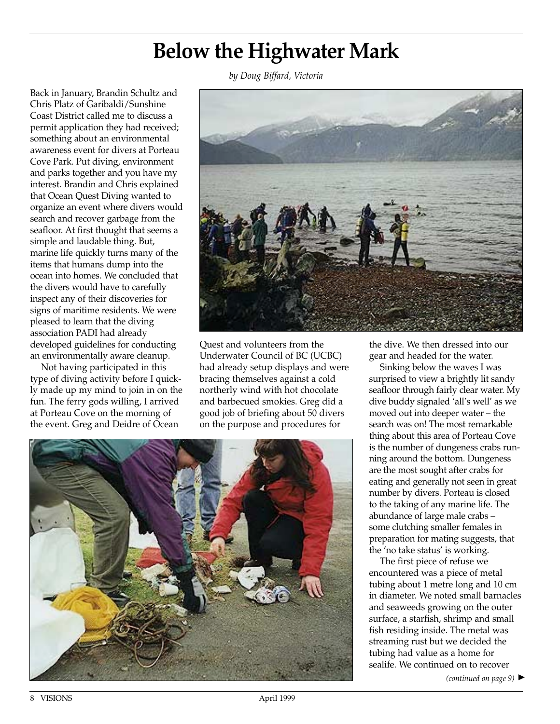### **Below the Highwater Mark**

*by Doug Biffard, Victoria*

Back in January, Brandin Schultz and Chris Platz of Garibaldi/Sunshine Coast District called me to discuss a permit application they had received; something about an environmental awareness event for divers at Porteau Cove Park. Put diving, environment and parks together and you have my interest. Brandin and Chris explained that Ocean Quest Diving wanted to organize an event where divers would search and recover garbage from the seafloor. At first thought that seems a simple and laudable thing. But, marine life quickly turns many of the items that humans dump into the ocean into homes. We concluded that the divers would have to carefully inspect any of their discoveries for signs of maritime residents. We were pleased to learn that the diving association PADI had already developed guidelines for conducting an environmentally aware cleanup.

Not having participated in this type of diving activity before I quickly made up my mind to join in on the fun. The ferry gods willing, I arrived at Porteau Cove on the morning of the event. Greg and Deidre of Ocean



Quest and volunteers from the Underwater Council of BC (UCBC) had already setup displays and were bracing themselves against a cold northerly wind with hot chocolate and barbecued smokies. Greg did a good job of briefing about 50 divers on the purpose and procedures for



the dive. We then dressed into our gear and headed for the water.

Sinking below the waves I was surprised to view a brightly lit sandy seafloor through fairly clear water. My dive buddy signaled 'all's well' as we moved out into deeper water – the search was on! The most remarkable thing about this area of Porteau Cove is the number of dungeness crabs running around the bottom. Dungeness are the most sought after crabs for eating and generally not seen in great number by divers. Porteau is closed to the taking of any marine life. The abundance of large male crabs – some clutching smaller females in preparation for mating suggests, that the 'no take status' is working.

The first piece of refuse we encountered was a piece of metal tubing about 1 metre long and 10 cm in diameter. We noted small barnacles and seaweeds growing on the outer surface, a starfish, shrimp and small fish residing inside. The metal was streaming rust but we decided the tubing had value as a home for sealife. We continued on to recover

*(continued on page 9)* ▲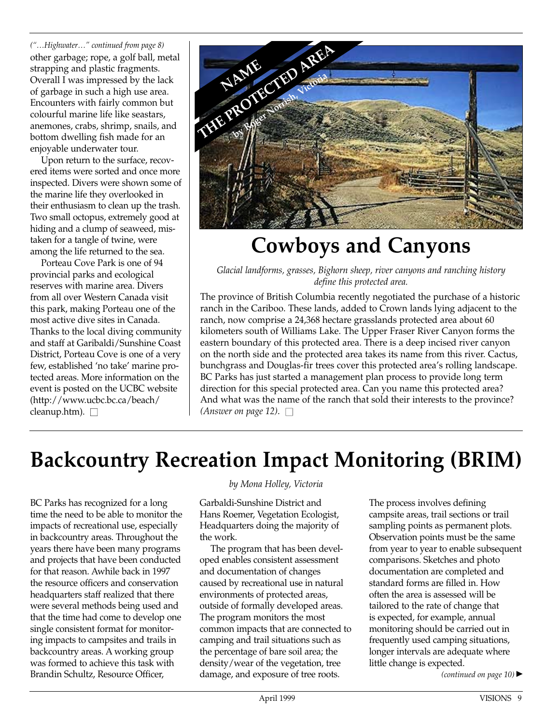*("…Highwater…" continued from page 8)* other garbage; rope, a golf ball, metal strapping and plastic fragments. Overall I was impressed by the lack of garbage in such a high use area. Encounters with fairly common but colourful marine life like seastars, anemones, crabs, shrimp, snails, and bottom dwelling fish made for an enjoyable underwater tour.

Upon return to the surface, recovered items were sorted and once more inspected. Divers were shown some of the marine life they overlooked in their enthusiasm to clean up the trash. Two small octopus, extremely good at hiding and a clump of seaweed, mistaken for a tangle of twine, were among the life returned to the sea.

Porteau Cove Park is one of 94 provincial parks and ecological reserves with marine area. Divers from all over Western Canada visit this park, making Porteau one of the most active dive sites in Canada. Thanks to the local diving community and staff at Garibaldi/Sunshine Coast District, Porteau Cove is one of a very few, established 'no take' marine protected areas. More information on the event is posted on the UCBC website (http://www.ucbc.bc.ca/beach/ cleanup.htm).  $\square$ 



### **Cowboys and Canyons**

*Glacial landforms, grasses, Bighorn sheep, river canyons and ranching history define this protected area.*

The province of British Columbia recently negotiated the purchase of a historic ranch in the Cariboo. These lands, added to Crown lands lying adjacent to the ranch, now comprise a 24,368 hectare grasslands protected area about 60 kilometers south of Williams Lake. The Upper Fraser River Canyon forms the eastern boundary of this protected area. There is a deep incised river canyon on the north side and the protected area takes its name from this river. Cactus, bunchgrass and Douglas-fir trees cover this protected area's rolling landscape. BC Parks has just started a management plan process to provide long term direction for this special protected area. Can you name this protected area? And what was the name of the ranch that sold their interests to the province? *(Answer on page 12).*  $\square$ 

### **Backcountry Recreation Impact Monitoring (BRIM)**

BC Parks has recognized for a long time the need to be able to monitor the impacts of recreational use, especially in backcountry areas. Throughout the years there have been many programs and projects that have been conducted for that reason. Awhile back in 1997 the resource officers and conservation headquarters staff realized that there were several methods being used and that the time had come to develop one single consistent format for monitoring impacts to campsites and trails in backcountry areas. A working group was formed to achieve this task with Brandin Schultz, Resource Officer,

#### *by Mona Holley, Victoria*

Garbaldi-Sunshine District and Hans Roemer, Vegetation Ecologist, Headquarters doing the majority of the work.

The program that has been developed enables consistent assessment and documentation of changes caused by recreational use in natural environments of protected areas, outside of formally developed areas. The program monitors the most common impacts that are connected to camping and trail situations such as the percentage of bare soil area; the density/wear of the vegetation, tree damage, and exposure of tree roots.

The process involves defining campsite areas, trail sections or trail sampling points as permanent plots. Observation points must be the same from year to year to enable subsequent comparisons. Sketches and photo documentation are completed and standard forms are filled in. How often the area is assessed will be tailored to the rate of change that is expected, for example, annual monitoring should be carried out in frequently used camping situations, longer intervals are adequate where little change is expected.

*(continued on page 10)* ▲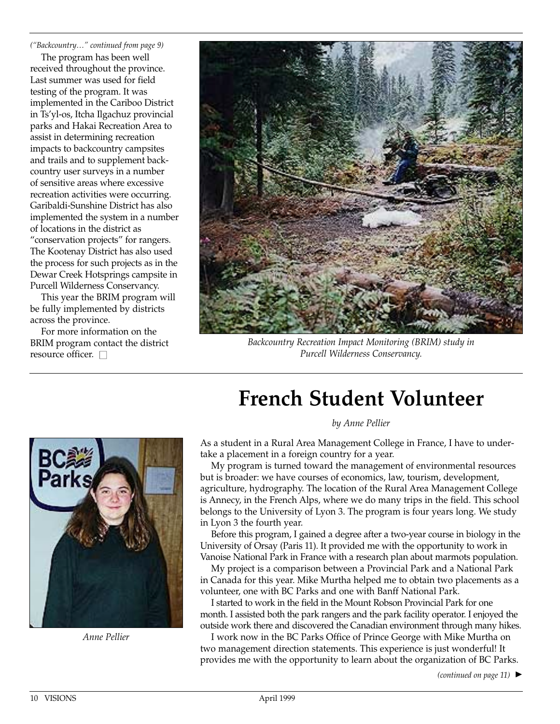*("Backcountry…" continued from page 9)*

The program has been well received throughout the province. Last summer was used for field testing of the program. It was implemented in the Cariboo District in Ts'yl-os, Itcha Ilgachuz provincial parks and Hakai Recreation Area to assist in determining recreation impacts to backcountry campsites and trails and to supplement backcountry user surveys in a number of sensitive areas where excessive recreation activities were occurring. Garibaldi-Sunshine District has also implemented the system in a number of locations in the district as "conservation projects" for rangers. The Kootenay District has also used the process for such projects as in the Dewar Creek Hotsprings campsite in Purcell Wilderness Conservancy.

This year the BRIM program will be fully implemented by districts across the province.

For more information on the BRIM program contact the district resource officer.  $\square$ 



*Backcountry Recreation Impact Monitoring (BRIM) study in Purcell Wilderness Conservancy.*

### **French Student Volunteer**

*by Anne Pellier*



*Anne Pellier*

As a student in a Rural Area Management College in France, I have to undertake a placement in a foreign country for a year.

My program is turned toward the management of environmental resources but is broader: we have courses of economics, law, tourism, development, agriculture, hydrography. The location of the Rural Area Management College is Annecy, in the French Alps, where we do many trips in the field. This school belongs to the University of Lyon 3. The program is four years long. We study in Lyon 3 the fourth year.

Before this program, I gained a degree after a two-year course in biology in the University of Orsay (Paris 11). It provided me with the opportunity to work in Vanoise National Park in France with a research plan about marmots population.

My project is a comparison between a Provincial Park and a National Park in Canada for this year. Mike Murtha helped me to obtain two placements as a volunteer, one with BC Parks and one with Banff National Park.

I started to work in the field in the Mount Robson Provincial Park for one month. I assisted both the park rangers and the park facility operator. I enjoyed the outside work there and discovered the Canadian environment through many hikes.

I work now in the BC Parks Office of Prince George with Mike Murtha on two management direction statements. This experience is just wonderful! It provides me with the opportunity to learn about the organization of BC Parks.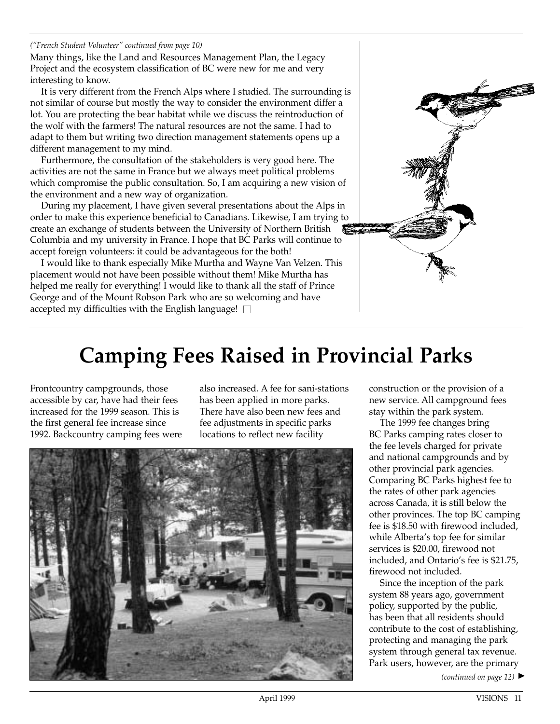#### *("French Student Volunteer" continued from page 10)*

Many things, like the Land and Resources Management Plan, the Legacy Project and the ecosystem classification of BC were new for me and very interesting to know.

It is very different from the French Alps where I studied. The surrounding is not similar of course but mostly the way to consider the environment differ a lot. You are protecting the bear habitat while we discuss the reintroduction of the wolf with the farmers! The natural resources are not the same. I had to adapt to them but writing two direction management statements opens up a different management to my mind.

Furthermore, the consultation of the stakeholders is very good here. The activities are not the same in France but we always meet political problems which compromise the public consultation. So, I am acquiring a new vision of the environment and a new way of organization.

During my placement, I have given several presentations about the Alps in order to make this experience beneficial to Canadians. Likewise, I am trying to create an exchange of students between the University of Northern British Columbia and my university in France. I hope that BC Parks will continue to accept foreign volunteers: it could be advantageous for the both!

I would like to thank especially Mike Murtha and Wayne Van Velzen. This placement would not have been possible without them! Mike Murtha has helped me really for everything! I would like to thank all the staff of Prince George and of the Mount Robson Park who are so welcoming and have accepted my difficulties with the English language!  $\square$ 



### **Camping Fees Raised in Provincial Parks**

Frontcountry campgrounds, those accessible by car, have had their fees increased for the 1999 season. This is the first general fee increase since 1992. Backcountry camping fees were also increased. A fee for sani-stations has been applied in more parks. There have also been new fees and fee adjustments in specific parks locations to reflect new facility



construction or the provision of a new service. All campground fees stay within the park system.

The 1999 fee changes bring BC Parks camping rates closer to the fee levels charged for private and national campgrounds and by other provincial park agencies. Comparing BC Parks highest fee to the rates of other park agencies across Canada, it is still below the other provinces. The top BC camping fee is \$18.50 with firewood included, while Alberta's top fee for similar services is \$20.00, firewood not included, and Ontario's fee is \$21.75, firewood not included.

Since the inception of the park system 88 years ago, government policy, supported by the public, has been that all residents should contribute to the cost of establishing, protecting and managing the park system through general tax revenue. Park users, however, are the primary

*(continued on page 12)* ▲